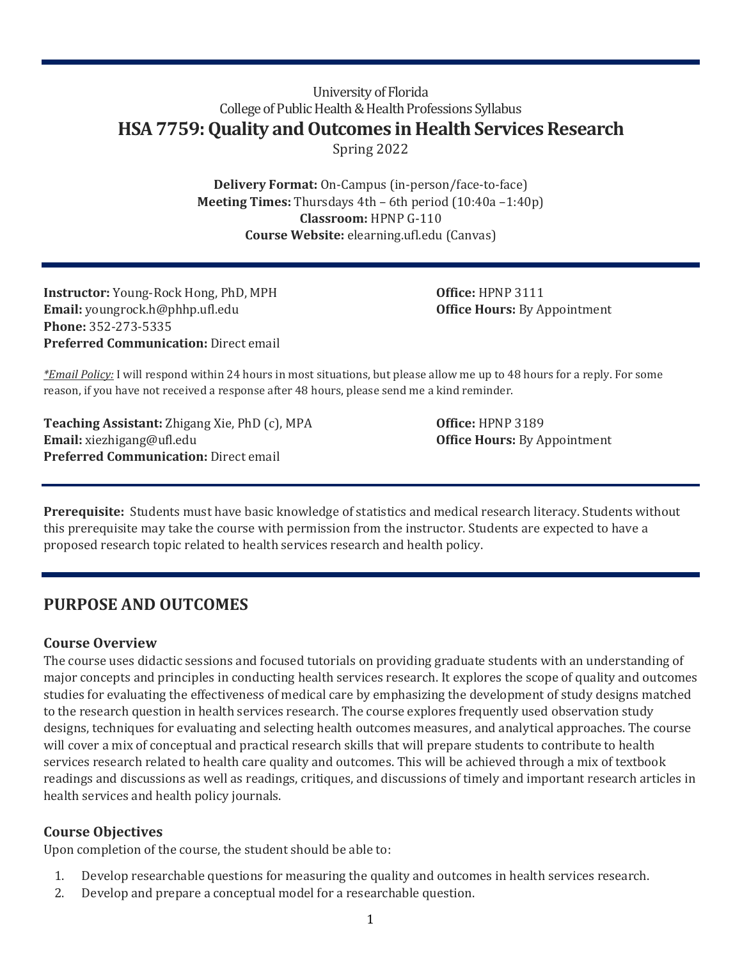# University of Florida College of Public Health & Health Professions Syllabus **HSA 7759: Quality and Outcomes in Health Services Research** Spring 2022

**Delivery Format:** On-Campus (in-person/face-to-face) **Meeting Times:** Thursdays 4th – 6th period (10:40a –1:40p) **Classroom:** HPNP G-110 **Course Website:** elearning.ufl.edu (Canvas)

**Instructor:** Young-Rock Hong, PhD, MPH **Office:** HPNP 3111 **Email:** youngrock.h@phhp.ufl.edu **Office Hours:** By Appointment **Phone:** 352-273-5335 **Preferred Communication:** Direct email

*\*Email Policy:* I will respond within 24 hours in most situations, but please allow me up to 48 hours for a reply. For some reason, if you have not received a response after 48 hours, please send me a kind reminder.

**Teaching Assistant:** Zhigang Xie, PhD (c), MPA **Office:** HPNP 3189 **Email:** xiezhigang@ufl.edu **Office Hours:** By Appointment **Preferred Communication:** Direct email

**Prerequisite:** Students must have basic knowledge of statistics and medical research literacy. Students without this prerequisite may take the course with permission from the instructor. Students are expected to have a proposed research topic related to health services research and health policy.

# **PURPOSE AND OUTCOMES**

# **Course Overview**

The course uses didactic sessions and focused tutorials on providing graduate students with an understanding of major concepts and principles in conducting health services research. It explores the scope of quality and outcomes studies for evaluating the effectiveness of medical care by emphasizing the development of study designs matched to the research question in health services research. The course explores frequently used observation study designs, techniques for evaluating and selecting health outcomes measures, and analytical approaches. The course will cover a mix of conceptual and practical research skills that will prepare students to contribute to health services research related to health care quality and outcomes. This will be achieved through a mix of textbook readings and discussions as well as readings, critiques, and discussions of timely and important research articles in health services and health policy journals.

# **Course Objectives**

Upon completion of the course, the student should be able to:

- 1. Develop researchable questions for measuring the quality and outcomes in health services research.
- 2. Develop and prepare a conceptual model for a researchable question.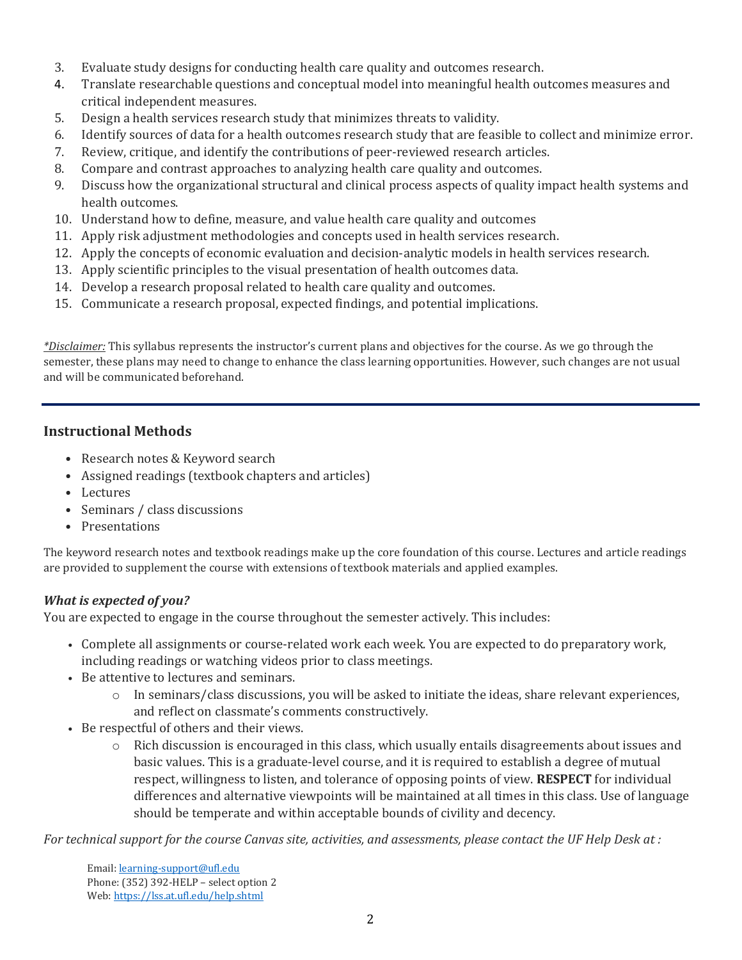- 3. Evaluate study designs for conducting health care quality and outcomes research.
- 4. Translate researchable questions and conceptual model into meaningful health outcomes measures and critical independent measures.
- 5. Design a health services research study that minimizes threats to validity.
- 6. Identify sources of data for a health outcomes research study that are feasible to collect and minimize error.
- 7. Review, critique, and identify the contributions of peer-reviewed research articles.
- 8. Compare and contrast approaches to analyzing health care quality and outcomes.
- 9. Discuss how the organizational structural and clinical process aspects of quality impact health systems and health outcomes.
- 10. Understand how to define, measure, and value health care quality and outcomes
- 11. Apply risk adjustment methodologies and concepts used in health services research.
- 12. Apply the concepts of economic evaluation and decision-analytic models in health services research.
- 13. Apply scientific principles to the visual presentation of health outcomes data.
- 14. Develop a research proposal related to health care quality and outcomes.
- 15. Communicate a research proposal, expected findings, and potential implications.

*\*Disclaimer:* This syllabus represents the instructor's current plans and objectives for the course. As we go through the semester, these plans may need to change to enhance the class learning opportunities. However, such changes are not usual and will be communicated beforehand.

#### **Instructional Methods**

- Research notes & Keyword search
- Assigned readings (textbook chapters and articles)
- Lectures
- Seminars / class discussions
- Presentations

The keyword research notes and textbook readings make up the core foundation of this course. Lectures and article readings are provided to supplement the course with extensions of textbook materials and applied examples.

#### *What is expected of you?*

You are expected to engage in the course throughout the semester actively. This includes:

- Complete all assignments or course-related work each week. You are expected to do preparatory work, including readings or watching videos prior to class meetings.
- Be attentive to lectures and seminars.
	- $\circ$  In seminars/class discussions, you will be asked to initiate the ideas, share relevant experiences, and reflect on classmate's comments constructively.
- Be respectful of others and their views.
	- $\circ$  Rich discussion is encouraged in this class, which usually entails disagreements about issues and basic values. This is a graduate-level course, and it is required to establish a degree of mutual respect, willingness to listen, and tolerance of opposing points of view. **RESPECT** for individual differences and alternative viewpoints will be maintained at all times in this class. Use of language should be temperate and within acceptable bounds of civility and decency.

*For technical support for the course Canvas site, activities, and assessments, please contact the UF Help Desk at :*

Email[: learning-support@ufl.edu](mailto:learning-support@ufl.edu) Phone: (352) 392-HELP – select option 2 Web[: https://lss.at.ufl.edu/help.shtml](https://lss.at.ufl.edu/help.shtml)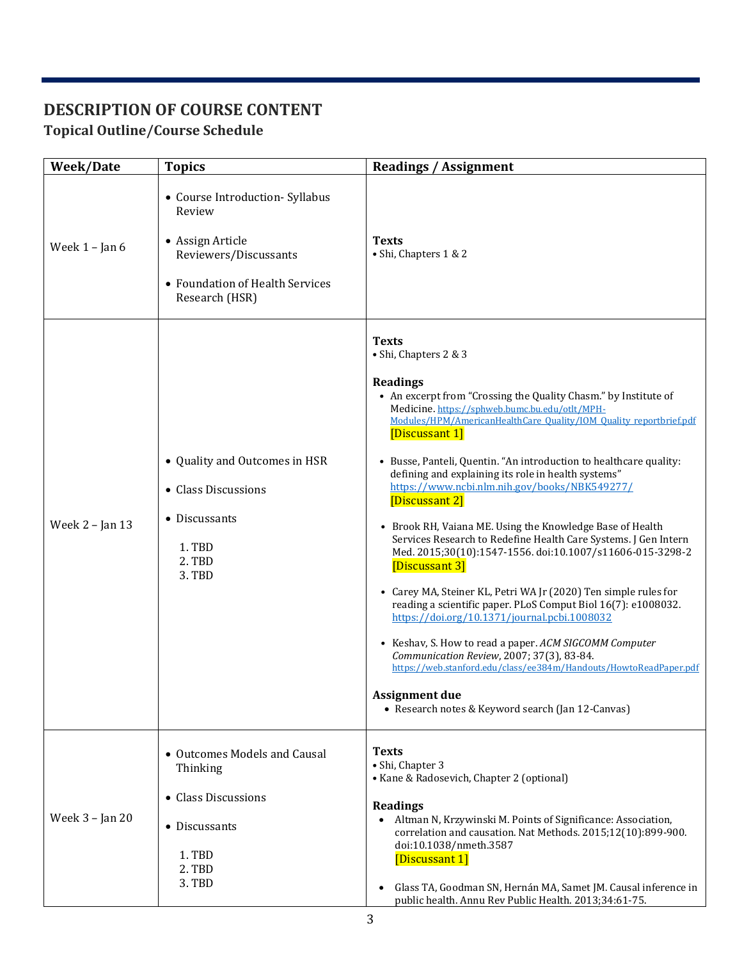# **DESCRIPTION OF COURSE CONTENT**

# **Topical Outline/Course Schedule**

| Week/Date        | <b>Topics</b>                                                                                                                               | <b>Readings / Assignment</b>                                                                                                                                                                                                                                                                                                                                                                                                                                                                                                                                                                                                                                                                                                                                                                                                                                                                                                                                                                                                                                                                                                |
|------------------|---------------------------------------------------------------------------------------------------------------------------------------------|-----------------------------------------------------------------------------------------------------------------------------------------------------------------------------------------------------------------------------------------------------------------------------------------------------------------------------------------------------------------------------------------------------------------------------------------------------------------------------------------------------------------------------------------------------------------------------------------------------------------------------------------------------------------------------------------------------------------------------------------------------------------------------------------------------------------------------------------------------------------------------------------------------------------------------------------------------------------------------------------------------------------------------------------------------------------------------------------------------------------------------|
| Week $1 -$ Jan 6 | • Course Introduction- Syllabus<br>Review<br>• Assign Article<br>Reviewers/Discussants<br>• Foundation of Health Services<br>Research (HSR) | <b>Texts</b><br>· Shi, Chapters 1 & 2                                                                                                                                                                                                                                                                                                                                                                                                                                                                                                                                                                                                                                                                                                                                                                                                                                                                                                                                                                                                                                                                                       |
| Week 2 - Jan 13  | • Quality and Outcomes in HSR<br>• Class Discussions<br>• Discussants<br>1. TBD<br>2. TBD<br>3. TBD                                         | <b>Texts</b><br>• Shi, Chapters 2 & 3<br><b>Readings</b><br>• An excerpt from "Crossing the Quality Chasm." by Institute of<br>Medicine. https://sphweb.bumc.bu.edu/otlt/MPH-<br>Modules/HPM/AmericanHealthCare Quality/IOM Quality reportbrief.pdf<br>[Discussant 1]<br>• Busse, Panteli, Quentin. "An introduction to healthcare quality:<br>defining and explaining its role in health systems"<br>https://www.ncbi.nlm.nih.gov/books/NBK549277/<br>[Discussant 2]<br>• Brook RH, Vaiana ME. Using the Knowledge Base of Health<br>Services Research to Redefine Health Care Systems. J Gen Intern<br>Med. 2015;30(10):1547-1556. doi:10.1007/s11606-015-3298-2<br>[Discussant 3]<br>• Carey MA, Steiner KL, Petri WA Jr (2020) Ten simple rules for<br>reading a scientific paper. PLoS Comput Biol 16(7): e1008032.<br>https://doi.org/10.1371/journal.pcbi.1008032<br>• Keshav, S. How to read a paper. ACM SIGCOMM Computer<br>Communication Review, 2007; 37(3), 83-84.<br>https://web.stanford.edu/class/ee384m/Handouts/HowtoReadPaper.pdf<br>Assignment due<br>• Research notes & Keyword search (Jan 12-Canvas) |
| Week 3 - Jan 20  | • Outcomes Models and Causal<br>Thinking<br>• Class Discussions<br>• Discussants<br>1. TBD<br>2. TBD<br>3. TBD                              | <b>Texts</b><br>· Shi, Chapter 3<br>• Kane & Radosevich, Chapter 2 (optional)<br><b>Readings</b><br>Altman N, Krzywinski M. Points of Significance: Association,<br>$\bullet$<br>correlation and causation. Nat Methods. 2015;12(10):899-900.<br>doi:10.1038/nmeth.3587<br>[Discussant 1]<br>Glass TA, Goodman SN, Hernán MA, Samet JM. Causal inference in<br>public health. Annu Rev Public Health. 2013;34:61-75.                                                                                                                                                                                                                                                                                                                                                                                                                                                                                                                                                                                                                                                                                                        |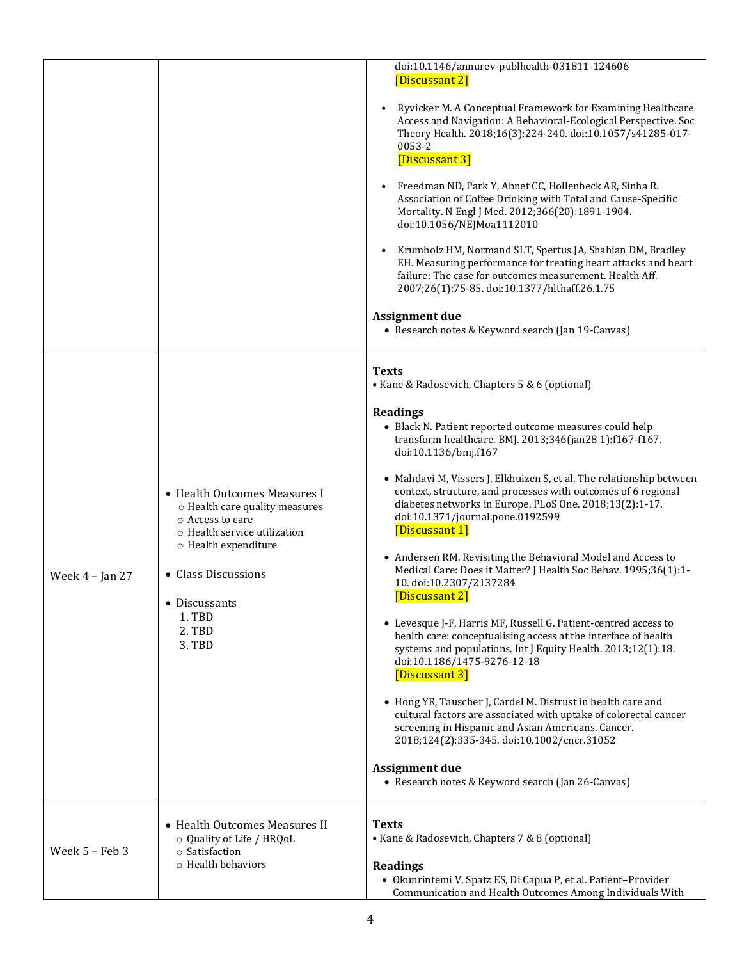|                   |                                                                                                                                                                                                                        | doi:10.1146/annurev-publhealth-031811-124606<br>[Discussant 2]<br>Ryvicker M. A Conceptual Framework for Examining Healthcare<br>$\bullet$<br>Access and Navigation: A Behavioral-Ecological Perspective. Soc<br>Theory Health. 2018;16(3):224-240. doi:10.1057/s41285-017-<br>0053-2<br>[Discussant 3]<br>Freedman ND, Park Y, Abnet CC, Hollenbeck AR, Sinha R.<br>$\bullet$<br>Association of Coffee Drinking with Total and Cause-Specific<br>Mortality. N Engl J Med. 2012;366(20):1891-1904.<br>doi:10.1056/NEJMoa1112010<br>Krumholz HM, Normand SLT, Spertus JA, Shahian DM, Bradley<br>$\bullet$<br>EH. Measuring performance for treating heart attacks and heart<br>failure: The case for outcomes measurement. Health Aff.<br>2007;26(1):75-85. doi:10.1377/hlthaff.26.1.75<br><b>Assignment due</b><br>• Research notes & Keyword search (Jan 19-Canvas)                                                                                                                                                                                                                                                                                                                                                                                  |
|-------------------|------------------------------------------------------------------------------------------------------------------------------------------------------------------------------------------------------------------------|--------------------------------------------------------------------------------------------------------------------------------------------------------------------------------------------------------------------------------------------------------------------------------------------------------------------------------------------------------------------------------------------------------------------------------------------------------------------------------------------------------------------------------------------------------------------------------------------------------------------------------------------------------------------------------------------------------------------------------------------------------------------------------------------------------------------------------------------------------------------------------------------------------------------------------------------------------------------------------------------------------------------------------------------------------------------------------------------------------------------------------------------------------------------------------------------------------------------------------------------------------|
| Week $4$ – Jan 27 | • Health Outcomes Measures I<br>o Health care quality measures<br>$\circ$ Access to care<br>o Health service utilization<br>o Health expenditure<br>• Class Discussions<br>• Discussants<br>1. TBD<br>2. TBD<br>3. TBD | <b>Texts</b><br>• Kane & Radosevich, Chapters 5 & 6 (optional)<br><b>Readings</b><br>• Black N. Patient reported outcome measures could help<br>transform healthcare. BMJ. 2013;346(jan28 1):f167-f167.<br>doi:10.1136/bmj.f167<br>• Mahdavi M, Vissers J, Elkhuizen S, et al. The relationship between<br>context, structure, and processes with outcomes of 6 regional<br>diabetes networks in Europe. PLoS One. 2018;13(2):1-17.<br>doi:10.1371/journal.pone.0192599<br>[Discussant 1]<br>• Andersen RM. Revisiting the Behavioral Model and Access to<br>Medical Care: Does it Matter? J Health Soc Behav. 1995;36(1):1-<br>10. doi:10.2307/2137284<br>[Discussant 2]<br>• Levesque J-F, Harris MF, Russell G. Patient-centred access to<br>health care: conceptualising access at the interface of health<br>systems and populations. Int J Equity Health. 2013;12(1):18.<br>doi:10.1186/1475-9276-12-18<br>[Discussant 3]<br>• Hong YR, Tauscher J, Cardel M. Distrust in health care and<br>cultural factors are associated with uptake of colorectal cancer<br>screening in Hispanic and Asian Americans. Cancer.<br>2018;124(2):335-345. doi:10.1002/cncr.31052<br><b>Assignment due</b><br>• Research notes & Keyword search (Jan 26-Canvas) |
| Week 5 - Feb 3    | • Health Outcomes Measures II<br>o Quality of Life / HRQoL<br>o Satisfaction<br>$\circ$ Health behaviors                                                                                                               | <b>Texts</b><br>• Kane & Radosevich, Chapters 7 & 8 (optional)<br><b>Readings</b><br>· Okunrintemi V, Spatz ES, Di Capua P, et al. Patient-Provider<br>Communication and Health Outcomes Among Individuals With                                                                                                                                                                                                                                                                                                                                                                                                                                                                                                                                                                                                                                                                                                                                                                                                                                                                                                                                                                                                                                        |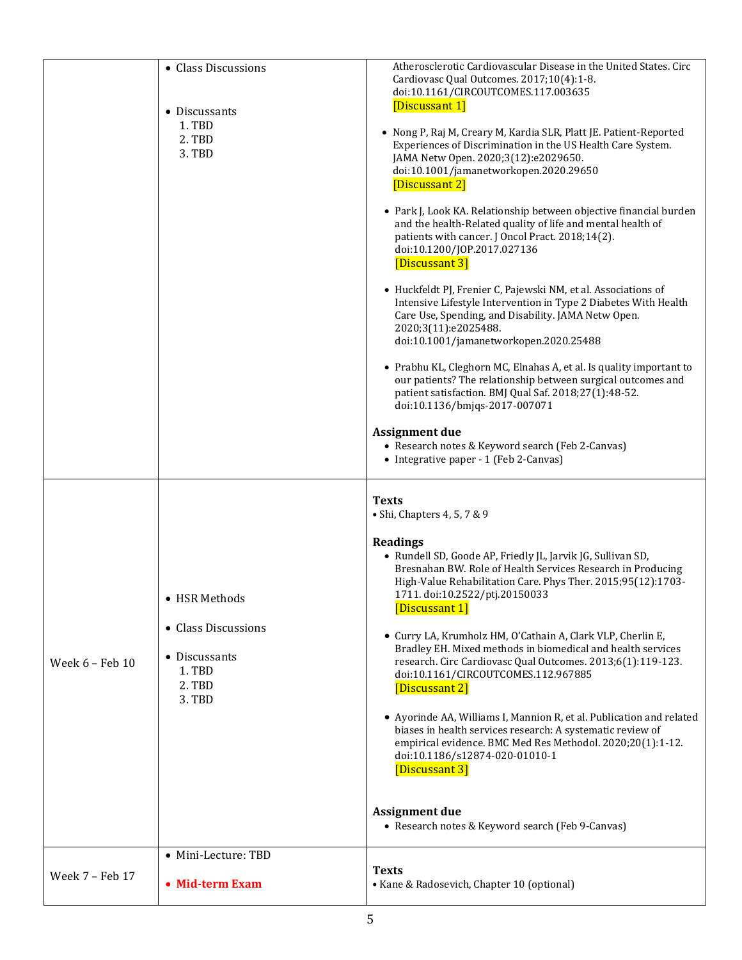|                 | • Class Discussions<br>• Discussants<br>1. TBD<br>2. TBD<br>3. TBD                                         | Atherosclerotic Cardiovascular Disease in the United States. Circ<br>Cardiovasc Qual Outcomes. 2017;10(4):1-8.<br>doi:10.1161/CIRCOUTCOMES.117.003635<br>[Discussant 1]<br>• Nong P, Raj M, Creary M, Kardia SLR, Platt JE. Patient-Reported<br>Experiences of Discrimination in the US Health Care System.<br>JAMA Netw Open. 2020;3(12):e2029650.<br>doi:10.1001/jamanetworkopen.2020.29650<br>[Discussant 2]<br>• Park J, Look KA. Relationship between objective financial burden<br>and the health-Related quality of life and mental health of<br>patients with cancer. J Oncol Pract. 2018;14(2).<br>doi:10.1200/JOP.2017.027136<br>[Discussant 3]<br>· Huckfeldt PJ, Frenier C, Pajewski NM, et al. Associations of<br>Intensive Lifestyle Intervention in Type 2 Diabetes With Health<br>Care Use, Spending, and Disability. JAMA Netw Open.<br>2020;3(11):e2025488.<br>doi:10.1001/jamanetworkopen.2020.25488<br>• Prabhu KL, Cleghorn MC, Elnahas A, et al. Is quality important to<br>our patients? The relationship between surgical outcomes and<br>patient satisfaction. BMJ Qual Saf. 2018;27(1):48-52.<br>doi:10.1136/bmjqs-2017-007071<br><b>Assignment due</b><br>• Research notes & Keyword search (Feb 2-Canvas)<br>• Integrative paper - 1 (Feb 2-Canvas) |
|-----------------|------------------------------------------------------------------------------------------------------------|---------------------------------------------------------------------------------------------------------------------------------------------------------------------------------------------------------------------------------------------------------------------------------------------------------------------------------------------------------------------------------------------------------------------------------------------------------------------------------------------------------------------------------------------------------------------------------------------------------------------------------------------------------------------------------------------------------------------------------------------------------------------------------------------------------------------------------------------------------------------------------------------------------------------------------------------------------------------------------------------------------------------------------------------------------------------------------------------------------------------------------------------------------------------------------------------------------------------------------------------------------------------------------|
| Week 6 - Feb 10 | • HSR Methods<br>• Class Discussions<br>• Discussants<br>1. TBD<br>2. TBD<br>3. TBD<br>• Mini-Lecture: TBD | <b>Texts</b><br>• Shi, Chapters 4, 5, 7 & 9<br><b>Readings</b><br>• Rundell SD, Goode AP, Friedly JL, Jarvik JG, Sullivan SD,<br>Bresnahan BW. Role of Health Services Research in Producing<br>High-Value Rehabilitation Care. Phys Ther. 2015;95(12):1703-<br>1711. doi:10.2522/ptj.20150033<br>[Discussant 1]<br>• Curry LA, Krumholz HM, O'Cathain A, Clark VLP, Cherlin E,<br>Bradley EH. Mixed methods in biomedical and health services<br>research. Circ Cardiovasc Qual Outcomes. 2013;6(1):119-123.<br>doi:10.1161/CIRCOUTCOMES.112.967885<br>[Discussant 2]<br>• Ayorinde AA, Williams I, Mannion R, et al. Publication and related<br>biases in health services research: A systematic review of<br>empirical evidence. BMC Med Res Methodol. 2020;20(1):1-12.<br>doi:10.1186/s12874-020-01010-1<br>[Discussant 3]<br><b>Assignment due</b><br>• Research notes & Keyword search (Feb 9-Canvas)                                                                                                                                                                                                                                                                                                                                                                     |
| Week 7 - Feb 17 | • Mid-term Exam                                                                                            | <b>Texts</b><br>• Kane & Radosevich, Chapter 10 (optional)                                                                                                                                                                                                                                                                                                                                                                                                                                                                                                                                                                                                                                                                                                                                                                                                                                                                                                                                                                                                                                                                                                                                                                                                                      |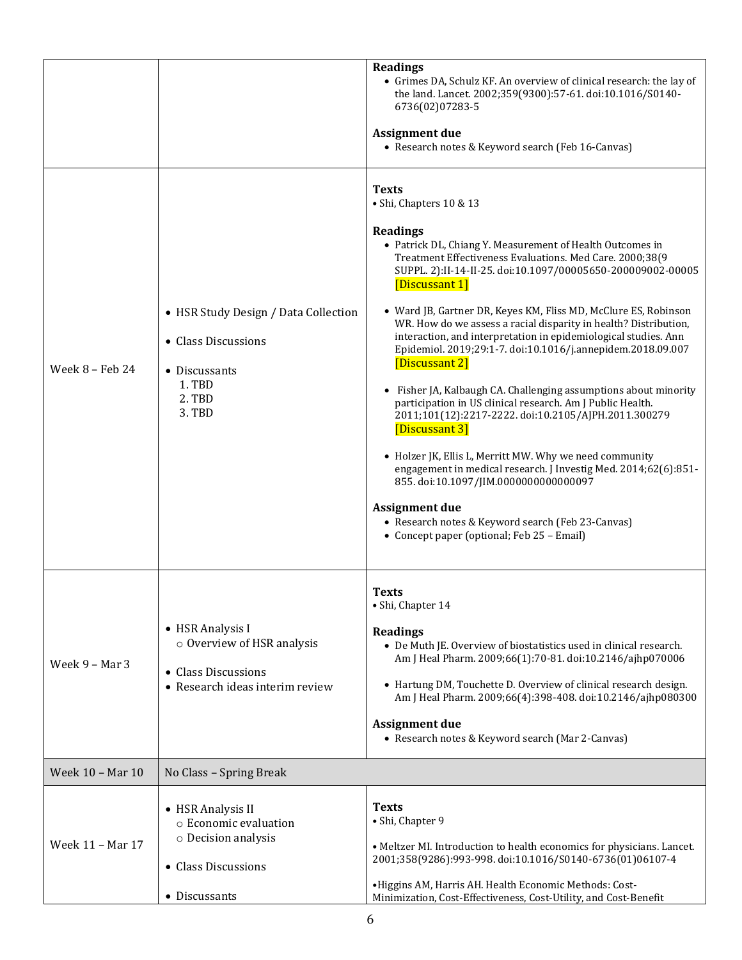|                  |                                                                                                            | <b>Readings</b><br>• Grimes DA, Schulz KF. An overview of clinical research: the lay of<br>the land. Lancet. 2002;359(9300):57-61. doi:10.1016/S0140-<br>6736(02)07283-5<br><b>Assignment due</b><br>• Research notes & Keyword search (Feb 16-Canvas)                                                                                                                                                                                                                                                                                                                                                                                                                                                                                                                                                                                                                                                                                                                                                                                                                         |
|------------------|------------------------------------------------------------------------------------------------------------|--------------------------------------------------------------------------------------------------------------------------------------------------------------------------------------------------------------------------------------------------------------------------------------------------------------------------------------------------------------------------------------------------------------------------------------------------------------------------------------------------------------------------------------------------------------------------------------------------------------------------------------------------------------------------------------------------------------------------------------------------------------------------------------------------------------------------------------------------------------------------------------------------------------------------------------------------------------------------------------------------------------------------------------------------------------------------------|
| Week 8 - Feb 24  | • HSR Study Design / Data Collection<br>• Class Discussions<br>• Discussants<br>1. TBD<br>2. TBD<br>3. TBD | <b>Texts</b><br>· Shi, Chapters 10 & 13<br><b>Readings</b><br>• Patrick DL, Chiang Y. Measurement of Health Outcomes in<br>Treatment Effectiveness Evaluations. Med Care. 2000;38(9<br>SUPPL. 2):II-14-II-25. doi:10.1097/00005650-200009002-00005<br>[Discussant 1]<br>• Ward JB, Gartner DR, Keyes KM, Fliss MD, McClure ES, Robinson<br>WR. How do we assess a racial disparity in health? Distribution,<br>interaction, and interpretation in epidemiological studies. Ann<br>Epidemiol. 2019;29:1-7. doi:10.1016/j.annepidem.2018.09.007<br>[Discussant 2]<br>• Fisher JA, Kalbaugh CA. Challenging assumptions about minority<br>participation in US clinical research. Am J Public Health.<br>2011;101(12):2217-2222. doi:10.2105/AJPH.2011.300279<br>[Discussant 3]<br>• Holzer JK, Ellis L, Merritt MW. Why we need community<br>engagement in medical research. J Investig Med. 2014;62(6):851-<br>855. doi:10.1097/JIM.0000000000000097<br><b>Assignment due</b><br>• Research notes & Keyword search (Feb 23-Canvas)<br>• Concept paper (optional; Feb 25 - Email) |
| Week 9 - Mar 3   | • HSR Analysis I<br>o Overview of HSR analysis<br>• Class Discussions<br>• Research ideas interim review   | <b>Texts</b><br>· Shi, Chapter 14<br><b>Readings</b><br>• De Muth JE. Overview of biostatistics used in clinical research.<br>Am J Heal Pharm. 2009;66(1):70-81. doi:10.2146/ajhp070006<br>• Hartung DM, Touchette D. Overview of clinical research design.<br>Am J Heal Pharm. 2009;66(4):398-408. doi:10.2146/ajhp080300<br><b>Assignment due</b><br>• Research notes & Keyword search (Mar 2-Canvas)                                                                                                                                                                                                                                                                                                                                                                                                                                                                                                                                                                                                                                                                        |
| Week 10 - Mar 10 | No Class - Spring Break                                                                                    |                                                                                                                                                                                                                                                                                                                                                                                                                                                                                                                                                                                                                                                                                                                                                                                                                                                                                                                                                                                                                                                                                |
| Week 11 - Mar 17 | • HSR Analysis II<br>o Economic evaluation<br>o Decision analysis<br>• Class Discussions<br>• Discussants  | <b>Texts</b><br>· Shi, Chapter 9<br>• Meltzer MI. Introduction to health economics for physicians. Lancet.<br>2001;358(9286):993-998. doi:10.1016/S0140-6736(01)06107-4<br>•Higgins AM, Harris AH. Health Economic Methods: Cost-<br>Minimization, Cost-Effectiveness, Cost-Utility, and Cost-Benefit                                                                                                                                                                                                                                                                                                                                                                                                                                                                                                                                                                                                                                                                                                                                                                          |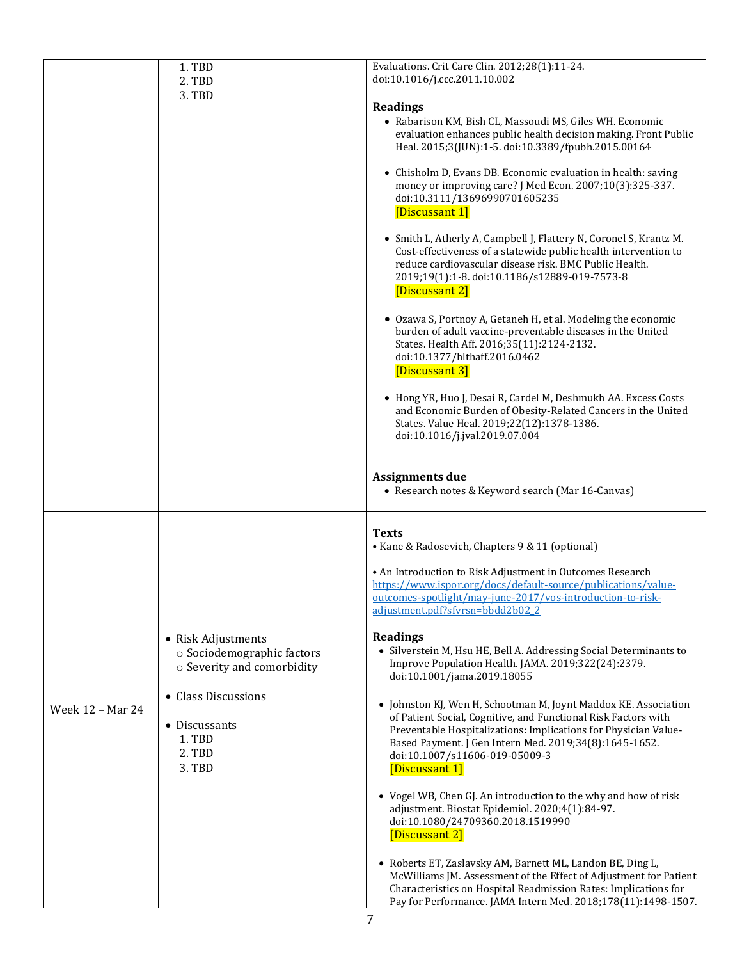|                  | 1. TBD<br>2. TBD                                                                                                                                     | Evaluations. Crit Care Clin. 2012;28(1):11-24.<br>doi:10.1016/j.ccc.2011.10.002                                                                                                                                                                                                                                                                                                                                                                                                                                                                                                                                                                                                                                                                                                                                                                                                                                                                                                                                                                                                                                                                                                                                                                          |
|------------------|------------------------------------------------------------------------------------------------------------------------------------------------------|----------------------------------------------------------------------------------------------------------------------------------------------------------------------------------------------------------------------------------------------------------------------------------------------------------------------------------------------------------------------------------------------------------------------------------------------------------------------------------------------------------------------------------------------------------------------------------------------------------------------------------------------------------------------------------------------------------------------------------------------------------------------------------------------------------------------------------------------------------------------------------------------------------------------------------------------------------------------------------------------------------------------------------------------------------------------------------------------------------------------------------------------------------------------------------------------------------------------------------------------------------|
|                  | 3. TBD                                                                                                                                               | <b>Readings</b><br>• Rabarison KM, Bish CL, Massoudi MS, Giles WH. Economic<br>evaluation enhances public health decision making. Front Public<br>Heal. 2015;3(JUN):1-5. doi:10.3389/fpubh.2015.00164<br>• Chisholm D, Evans DB. Economic evaluation in health: saving<br>money or improving care? J Med Econ. 2007;10(3):325-337.<br>doi:10.3111/13696990701605235<br>[Discussant 1]<br>• Smith L, Atherly A, Campbell J, Flattery N, Coronel S, Krantz M.<br>Cost-effectiveness of a statewide public health intervention to<br>reduce cardiovascular disease risk. BMC Public Health.<br>2019;19(1):1-8. doi:10.1186/s12889-019-7573-8<br>[Discussant 2]<br>• Ozawa S, Portnoy A, Getaneh H, et al. Modeling the economic<br>burden of adult vaccine-preventable diseases in the United<br>States. Health Aff. 2016;35(11):2124-2132.<br>doi:10.1377/hlthaff.2016.0462<br>[Discussant 3]<br>• Hong YR, Huo J, Desai R, Cardel M, Deshmukh AA. Excess Costs<br>and Economic Burden of Obesity-Related Cancers in the United<br>States. Value Heal. 2019;22(12):1378-1386.<br>doi:10.1016/j.jval.2019.07.004<br><b>Assignments due</b><br>• Research notes & Keyword search (Mar 16-Canvas)                                                             |
| Week 12 - Mar 24 | • Risk Adjustments<br>o Sociodemographic factors<br>o Severity and comorbidity<br>• Class Discussions<br>• Discussants<br>1. TBD<br>2. TBD<br>3. TBD | <b>Texts</b><br>• Kane & Radosevich, Chapters 9 & 11 (optional)<br>• An Introduction to Risk Adjustment in Outcomes Research<br>https://www.ispor.org/docs/default-source/publications/value-<br>outcomes-spotlight/may-june-2017/vos-introduction-to-risk-<br>adjustment.pdf?sfvrsn=bbdd2b02 2<br><b>Readings</b><br>• Silverstein M, Hsu HE, Bell A. Addressing Social Determinants to<br>Improve Population Health. JAMA. 2019;322(24):2379.<br>doi:10.1001/jama.2019.18055<br>• Johnston KJ, Wen H, Schootman M, Joynt Maddox KE. Association<br>of Patient Social, Cognitive, and Functional Risk Factors with<br>Preventable Hospitalizations: Implications for Physician Value-<br>Based Payment. J Gen Intern Med. 2019;34(8):1645-1652.<br>doi:10.1007/s11606-019-05009-3<br>[Discussant 1]<br>• Vogel WB, Chen GJ. An introduction to the why and how of risk<br>adjustment. Biostat Epidemiol. 2020;4(1):84-97.<br>doi:10.1080/24709360.2018.1519990<br>[Discussant 2]<br>• Roberts ET, Zaslavsky AM, Barnett ML, Landon BE, Ding L,<br>McWilliams JM. Assessment of the Effect of Adjustment for Patient<br>Characteristics on Hospital Readmission Rates: Implications for<br>Pay for Performance. JAMA Intern Med. 2018;178(11):1498-1507. |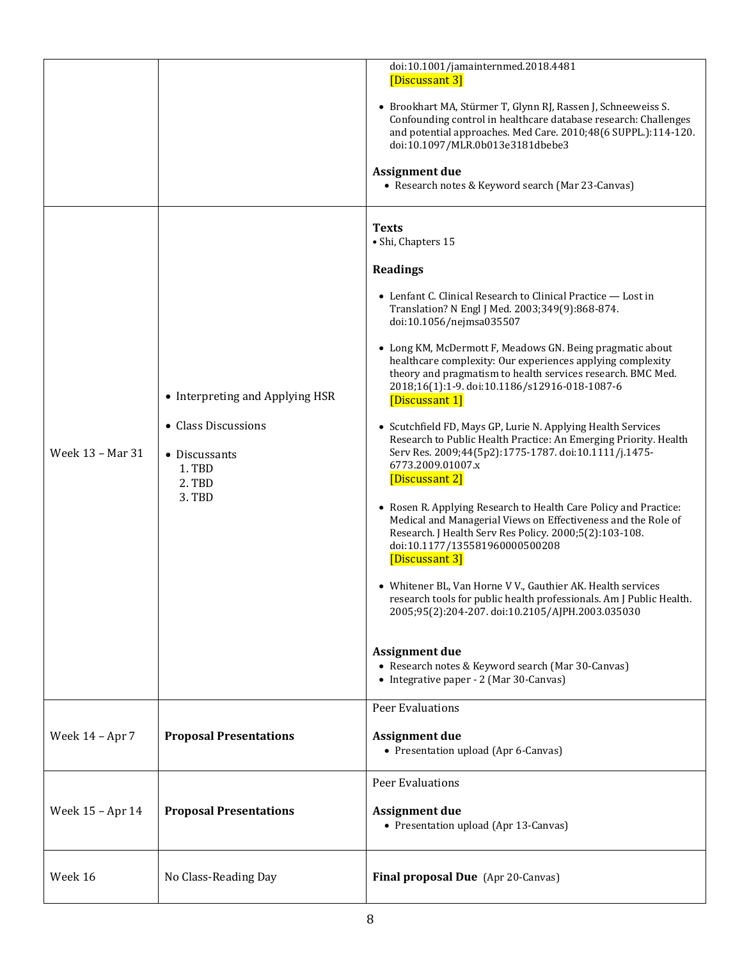|                  |                                                                                                       | doi:10.1001/jamainternmed.2018.4481<br>[Discussant 3]<br>• Brookhart MA, Stürmer T, Glynn RJ, Rassen J, Schneeweiss S.<br>Confounding control in healthcare database research: Challenges<br>and potential approaches. Med Care. 2010;48(6 SUPPL.):114-120.<br>doi:10.1097/MLR.0b013e3181dbebe3<br><b>Assignment due</b><br>• Research notes & Keyword search (Mar 23-Canvas)                                                                                                                                                                                                                                                                                                                                                                                                                                                                                                                                                                                                                                                                                                                                                                                                                                                                                                |
|------------------|-------------------------------------------------------------------------------------------------------|------------------------------------------------------------------------------------------------------------------------------------------------------------------------------------------------------------------------------------------------------------------------------------------------------------------------------------------------------------------------------------------------------------------------------------------------------------------------------------------------------------------------------------------------------------------------------------------------------------------------------------------------------------------------------------------------------------------------------------------------------------------------------------------------------------------------------------------------------------------------------------------------------------------------------------------------------------------------------------------------------------------------------------------------------------------------------------------------------------------------------------------------------------------------------------------------------------------------------------------------------------------------------|
| Week 13 - Mar 31 | • Interpreting and Applying HSR<br>• Class Discussions<br>• Discussants<br>1. TBD<br>2. TBD<br>3. TBD | <b>Texts</b><br>· Shi, Chapters 15<br><b>Readings</b><br>• Lenfant C. Clinical Research to Clinical Practice - Lost in<br>Translation? N Engl J Med. 2003;349(9):868-874.<br>doi:10.1056/nejmsa035507<br>• Long KM, McDermott F, Meadows GN. Being pragmatic about<br>healthcare complexity: Our experiences applying complexity<br>theory and pragmatism to health services research. BMC Med.<br>2018;16(1):1-9. doi:10.1186/s12916-018-1087-6<br>[Discussant 1]<br>• Scutchfield FD, Mays GP, Lurie N. Applying Health Services<br>Research to Public Health Practice: An Emerging Priority. Health<br>Serv Res. 2009;44(5p2):1775-1787. doi:10.1111/j.1475-<br>6773.2009.01007.x<br>[Discussant 2]<br>• Rosen R. Applying Research to Health Care Policy and Practice:<br>Medical and Managerial Views on Effectiveness and the Role of<br>Research. J Health Serv Res Policy. 2000;5(2):103-108.<br>doi:10.1177/135581960000500208<br>[Discussant 3]<br>• Whitener BL, Van Horne V V., Gauthier AK. Health services<br>research tools for public health professionals. Am J Public Health.<br>2005;95(2):204-207. doi:10.2105/AJPH.2003.035030<br><b>Assignment due</b><br>• Research notes & Keyword search (Mar 30-Canvas)<br>• Integrative paper - 2 (Mar 30-Canvas) |
| Week 14 - Apr 7  | <b>Proposal Presentations</b>                                                                         | <b>Peer Evaluations</b><br><b>Assignment due</b><br>• Presentation upload (Apr 6-Canvas)                                                                                                                                                                                                                                                                                                                                                                                                                                                                                                                                                                                                                                                                                                                                                                                                                                                                                                                                                                                                                                                                                                                                                                                     |
| Week 15 - Apr 14 | <b>Proposal Presentations</b>                                                                         | <b>Peer Evaluations</b><br><b>Assignment due</b><br>• Presentation upload (Apr 13-Canvas)                                                                                                                                                                                                                                                                                                                                                                                                                                                                                                                                                                                                                                                                                                                                                                                                                                                                                                                                                                                                                                                                                                                                                                                    |
| Week 16          | No Class-Reading Day                                                                                  | Final proposal Due (Apr 20-Canvas)                                                                                                                                                                                                                                                                                                                                                                                                                                                                                                                                                                                                                                                                                                                                                                                                                                                                                                                                                                                                                                                                                                                                                                                                                                           |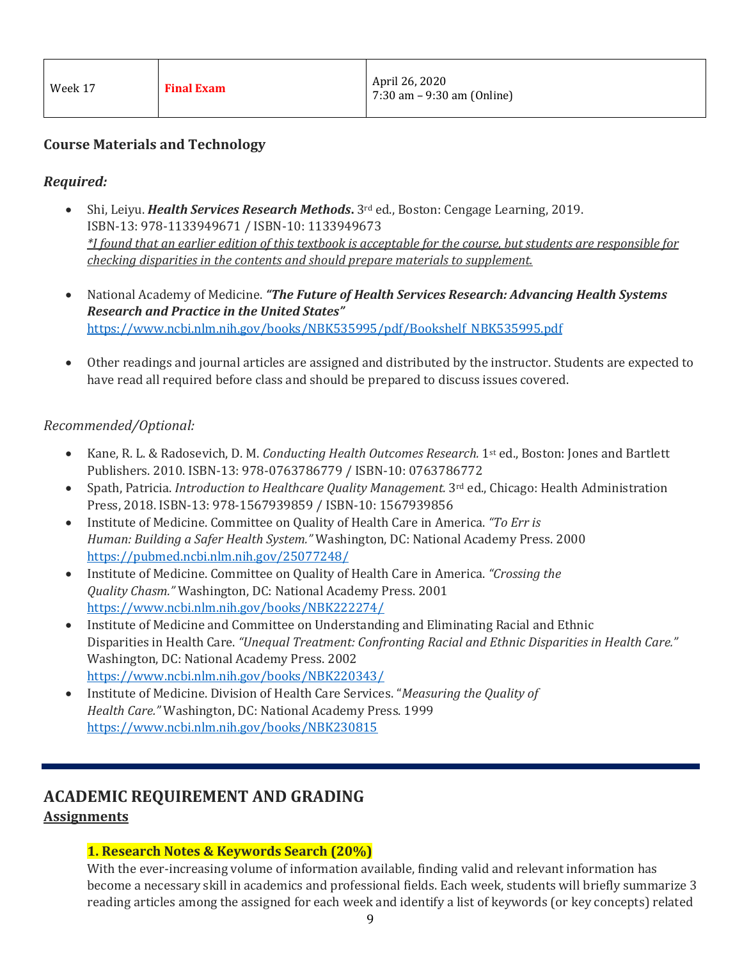| Week 17 | <b>Final Exam</b> | April 26, 2020<br>$7:30$ am $-9:30$ am (Online) |
|---------|-------------------|-------------------------------------------------|
|---------|-------------------|-------------------------------------------------|

# **Course Materials and Technology**

# *Required:*

- Shi, Leiyu. *Health Services Research Methods***.** 3rd ed., Boston: Cengage Learning, 2019. ISBN-13: 978-1133949671 / ISBN-10: 1133949673 *\*I found that an earlier edition of this textbook is acceptable for the course, but students are responsible for checking disparities in the contents and should prepare materials to supplement.*
- National Academy of Medicine. *"The Future of Health Services Research: Advancing Health Systems Research and Practice in the United States"*  [https://www.ncbi.nlm.nih.gov/books/NBK535995/pdf/Bookshelf\\_NBK535995.pdf](https://www.ncbi.nlm.nih.gov/books/NBK535995/pdf/Bookshelf_NBK535995.pdf)
- Other readings and journal articles are assigned and distributed by the instructor. Students are expected to have read all required before class and should be prepared to discuss issues covered.

#### *Recommended/Optional:*

- Kane, R. L. & Radosevich, D. M. *Conducting Health Outcomes Research.* 1st ed., Boston: Jones and Bartlett Publishers. 2010. ISBN-13: 978-0763786779 / ISBN-10: 0763786772
- Spath, Patricia. *Introduction to Healthcare Quality Management.* 3rd ed., Chicago: Health Administration Press, 2018. ISBN-13: 978-1567939859 / ISBN-10: 1567939856
- Institute of Medicine. Committee on Quality of Health Care in America. *"To Err is Human: Building a Safer Health System."* Washington, DC: National Academy Press. 2000 <https://pubmed.ncbi.nlm.nih.gov/25077248/>
- Institute of Medicine. Committee on Quality of Health Care in America. *"Crossing the Quality Chasm."* Washington, DC: National Academy Press. 2001 <https://www.ncbi.nlm.nih.gov/books/NBK222274/>
- Institute of Medicine and Committee on Understanding and Eliminating Racial and Ethnic Disparities in Health Care. *"Unequal Treatment: Confronting Racial and Ethnic Disparities in Health Care."* Washington, DC: National Academy Press. 2002 <https://www.ncbi.nlm.nih.gov/books/NBK220343/>
- Institute of Medicine. Division of Health Care Services. "*Measuring the Quality of Health Care."* Washington, DC: National Academy Press. 1999 <https://www.ncbi.nlm.nih.gov/books/NBK230815>

# **ACADEMIC REQUIREMENT AND GRADING**

# **Assignments**

# **1. Research Notes & Keywords Search (20%)**

With the ever-increasing volume of information available, finding valid and relevant information has become a necessary skill in academics and professional fields. Each week, students will briefly summarize 3 reading articles among the assigned for each week and identify a list of keywords (or key concepts) related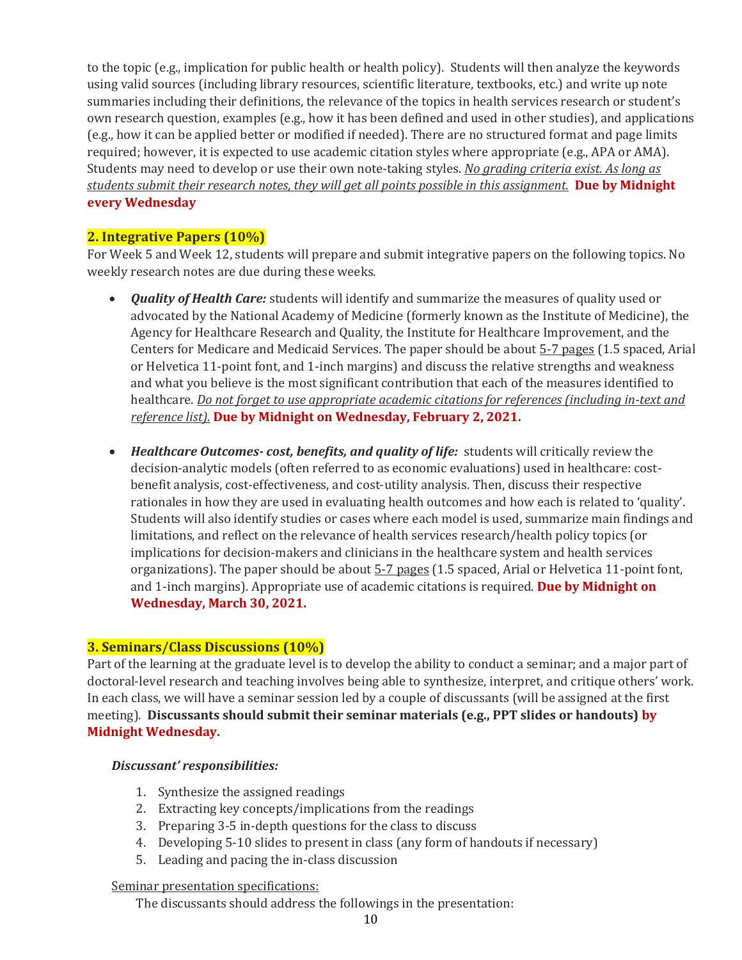to the topic (e.g., implication for public health or health policy). Students will then analyze the keywords using valid sources (including library resources, scientific literature, textbooks, etc.) and write up note summaries including their definitions, the relevance of the topics in health services research or student's own research question, examples (e.g., how it has been defined and used in other studies), and applications (e.g., how it can be applied better or modified if needed). There are no structured format and page limits required; however, it is expected to use academic citation styles where appropriate (e.g., APA or AMA). Students may need to develop or use their own note-taking styles. *No grading criteria exist. As long as students submit their research notes, they will get all points possible in this assignment.* **Due by Midnight every Wednesday**

### **2. Integrative Papers (10%)**

For Week 5 and Week 12, students will prepare and submit integrative papers on the following topics. No weekly research notes are due during these weeks.

- *Quality of Health Care:* students will identify and summarize the measures of quality used or advocated by the National Academy of Medicine (formerly known as the Institute of Medicine), the Agency for Healthcare Research and Quality, the Institute for Healthcare Improvement, and the Centers for Medicare and Medicaid Services. The paper should be about 5-7 pages (1.5 spaced, Arial or Helvetica 11-point font, and 1-inch margins) and discuss the relative strengths and weakness and what you believe is the most significant contribution that each of the measures identified to healthcare. *Do not forget to use appropriate academic citations for references (including in-text and reference list).* **Due by Midnight on Wednesday, February 2, 2021.**
- *Healthcare Outcomes- cost, benefits, and quality of life:* students will critically review the decision-analytic models (often referred to as economic evaluations) used in healthcare: costbenefit analysis, cost-effectiveness, and cost-utility analysis. Then, discuss their respective rationales in how they are used in evaluating health outcomes and how each is related to 'quality'. Students will also identify studies or cases where each model is used, summarize main findings and limitations, and reflect on the relevance of health services research/health policy topics (or implications for decision-makers and clinicians in the healthcare system and health services organizations). The paper should be about  $5-7$  pages (1.5 spaced, Arial or Helvetica 11-point font, and 1-inch margins). Appropriate use of academic citations is required. **Due by Midnight on Wednesday, March 30, 2021.**

#### **3. Seminars/Class Discussions (10%)**

Part of the learning at the graduate level is to develop the ability to conduct a seminar; and a major part of doctoral-level research and teaching involves being able to synthesize, interpret, and critique others' work. In each class, we will have a seminar session led by a couple of discussants (will be assigned at the first meeting). **Discussants should submit their seminar materials (e.g., PPT slides or handouts) by Midnight Wednesday.**

#### *Discussant' responsibilities:*

- 1. Synthesize the assigned readings
- 2. Extracting key concepts/implications from the readings
- 3. Preparing 3-5 in-depth questions for the class to discuss
- 4. Developing 5-10 slides to present in class (any form of handouts if necessary)
- 5. Leading and pacing the in-class discussion

#### Seminar presentation specifications:

The discussants should address the followings in the presentation: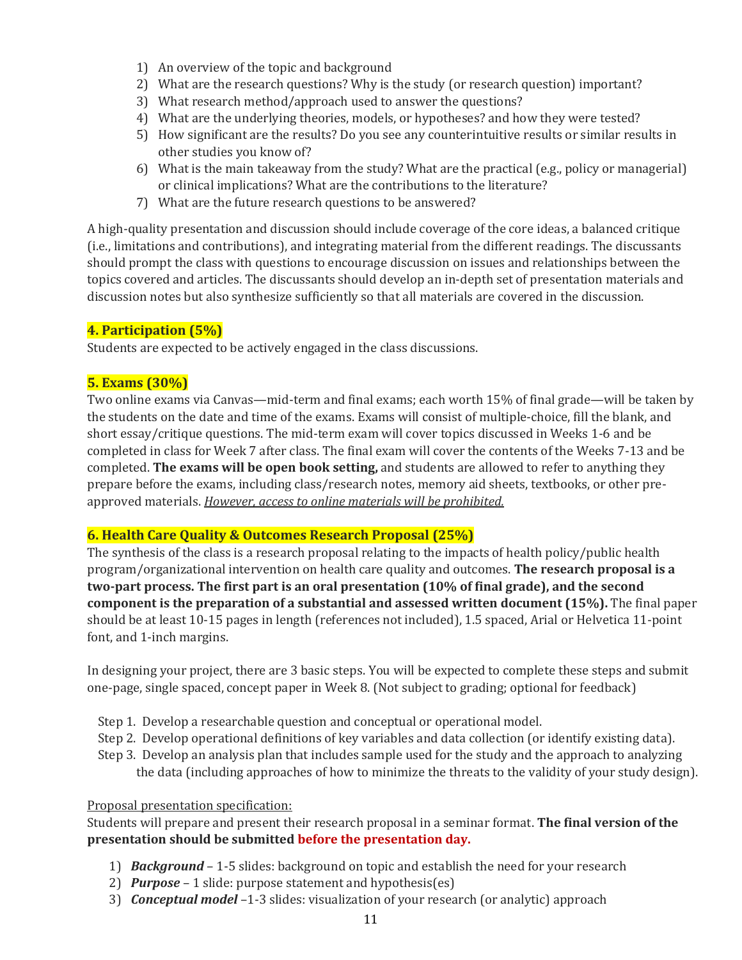- 1) An overview of the topic and background
- 2) What are the research questions? Why is the study (or research question) important?
- 3) What research method/approach used to answer the questions?
- 4) What are the underlying theories, models, or hypotheses? and how they were tested?
- 5) How significant are the results? Do you see any counterintuitive results or similar results in other studies you know of?
- 6) What is the main takeaway from the study? What are the practical (e.g., policy or managerial) or clinical implications? What are the contributions to the literature?
- 7) What are the future research questions to be answered?

A high-quality presentation and discussion should include coverage of the core ideas, a balanced critique (i.e., limitations and contributions), and integrating material from the different readings. The discussants should prompt the class with questions to encourage discussion on issues and relationships between the topics covered and articles. The discussants should develop an in-depth set of presentation materials and discussion notes but also synthesize sufficiently so that all materials are covered in the discussion.

# **4. Participation (5%)**

Students are expected to be actively engaged in the class discussions.

#### **5. Exams (30%)**

Two online exams via Canvas—mid-term and final exams; each worth 15% of final grade—will be taken by the students on the date and time of the exams. Exams will consist of multiple-choice, fill the blank, and short essay/critique questions. The mid-term exam will cover topics discussed in Weeks 1-6 and be completed in class for Week 7 after class. The final exam will cover the contents of the Weeks 7-13 and be completed. **The exams will be open book setting,** and students are allowed to refer to anything they prepare before the exams, including class/research notes, memory aid sheets, textbooks, or other preapproved materials. *However, access to online materials will be prohibited.*

#### **6. Health Care Quality & Outcomes Research Proposal (25%)**

The synthesis of the class is a research proposal relating to the impacts of health policy/public health program/organizational intervention on health care quality and outcomes. **The research proposal is a two-part process. The first part is an oral presentation (10% of final grade), and the second component is the preparation of a substantial and assessed written document (15%).** The final paper should be at least 10-15 pages in length (references not included), 1.5 spaced, Arial or Helvetica 11-point font, and 1-inch margins.

In designing your project, there are 3 basic steps. You will be expected to complete these steps and submit one-page, single spaced, concept paper in Week 8. (Not subject to grading; optional for feedback)

- Step 1. Develop a researchable question and conceptual or operational model.
- Step 2. Develop operational definitions of key variables and data collection (or identify existing data).
- Step 3. Develop an analysis plan that includes sample used for the study and the approach to analyzing the data (including approaches of how to minimize the threats to the validity of your study design).

#### Proposal presentation specification:

Students will prepare and present their research proposal in a seminar format. **The final version of the presentation should be submitted before the presentation day.**

- 1) *Background* 1-5 slides: background on topic and establish the need for your research
- 2) *Purpose*  1 slide: purpose statement and hypothesis(es)
- 3) *Conceptual model* –1-3 slides: visualization of your research (or analytic) approach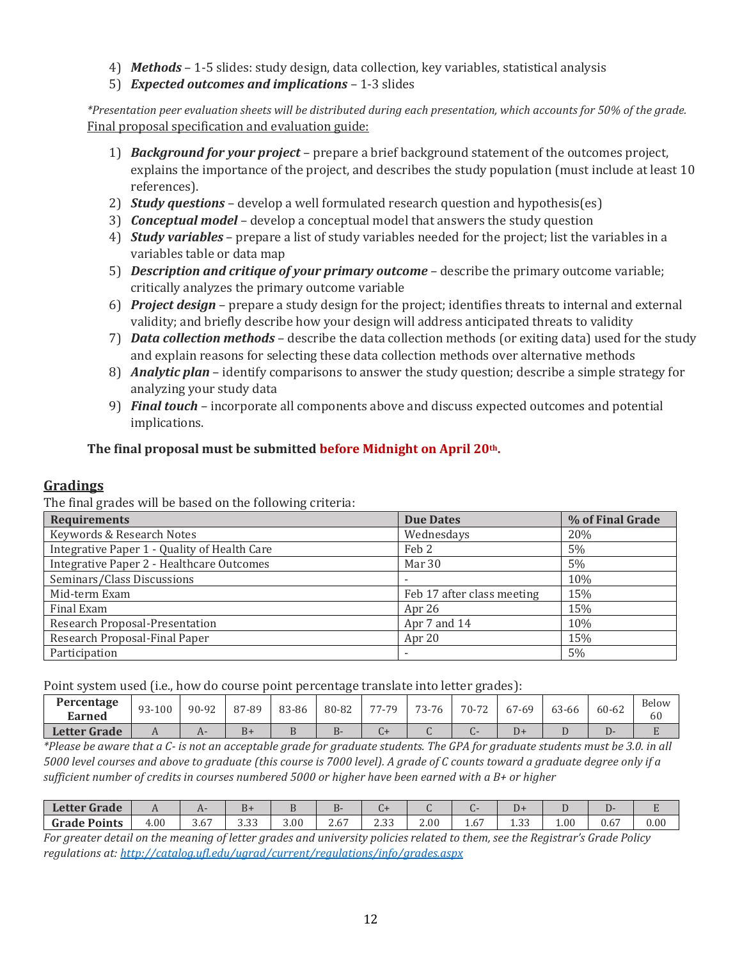- 4) *Methods*  1-5 slides: study design, data collection, key variables, statistical analysis
- 5) *Expected outcomes and implications*  1-3 slides

*\*Presentation peer evaluation sheets will be distributed during each presentation, which accounts for 50% of the grade.* Final proposal specification and evaluation guide:

- 1) *Background for your project* prepare a brief background statement of the outcomes project, explains the importance of the project, and describes the study population (must include at least 10 references).
- 2) *Study questions* develop a well formulated research question and hypothesis(es)
- 3) *Conceptual model* develop a conceptual model that answers the study question
- 4) *Study variables* prepare a list of study variables needed for the project; list the variables in a variables table or data map
- 5) *Description and critique of your primary outcome* describe the primary outcome variable; critically analyzes the primary outcome variable
- 6) *Project design* prepare a study design for the project; identifies threats to internal and external validity; and briefly describe how your design will address anticipated threats to validity
- 7) *Data collection methods* describe the data collection methods (or exiting data) used for the study and explain reasons for selecting these data collection methods over alternative methods
- 8) *Analytic plan* identify comparisons to answer the study question; describe a simple strategy for analyzing your study data
- 9) *Final touch* incorporate all components above and discuss expected outcomes and potential implications.

# **The final proposal must be submitted before Midnight on April 20th.**

# **Gradings**

The final grades will be based on the following criteria:

| <b>Requirements</b>                          | <b>Due Dates</b>           | % of Final Grade |
|----------------------------------------------|----------------------------|------------------|
| Keywords & Research Notes                    | Wednesdays                 | 20%              |
| Integrative Paper 1 - Quality of Health Care | Feb 2                      | 5%               |
| Integrative Paper 2 - Healthcare Outcomes    | Mar 30                     | 5%               |
| Seminars/Class Discussions                   |                            | 10%              |
| Mid-term Exam                                | Feb 17 after class meeting | 15%              |
| Final Exam                                   | Apr 26                     | 15%              |
| Research Proposal-Presentation               | Apr 7 and 14               | 10%              |
| Research Proposal-Final Paper                | Apr 20                     | 15%              |
| Participation                                |                            | 5%               |

Point system used (i.e., how do course point percentage translate into letter grades):

| Percentage<br>Earned | 93-100 | 90-92 | 87-89 | 83-86    | 80-82 | 77-79 | 73-76 | 70-72 | 67-69 | 63-66 | 60-62 | Below<br>60 |
|----------------------|--------|-------|-------|----------|-------|-------|-------|-------|-------|-------|-------|-------------|
| <b>Letter Grade</b>  |        | H.    | $B+$  | $\cdots$ | ◡     | ∪1    | ີ     |       | D+    |       |       |             |

*\*Please be aware that a C- is not an acceptable grade for graduate students. The GPA for graduate students must be 3.0. in all 5000 level courses and above to graduate (this course is 7000 level). A grade of C counts toward a graduate degree only if a sufficient number of credits in courses numbered 5000 or higher have been earned with a B+ or higher*

| <b>Letter Grade</b> | . .  |                    | D+               |      |                         |               |      |                   | ມ≁                     |          |                  |      |
|---------------------|------|--------------------|------------------|------|-------------------------|---------------|------|-------------------|------------------------|----------|------------------|------|
| <b>Grade Points</b> | 4.00 | $\sim$ $-$<br>، ن. | $\Omega$<br>ບ.ບບ | 3.00 | $\sim$ $-$<br>∽<br>2.6. | 22<br>ں ں ، ب | 2.00 | $\sim$ $-$<br>.to | $\sim$ $\sim$<br>ں سند | $1.00\,$ | 0.6 <sub>1</sub> | 0.00 |

*For greater detail on the meaning of letter grades and university policies related to them, see the Registrar's Grade Policy regulations at:<http://catalog.ufl.edu/ugrad/current/regulations/info/grades.aspx>*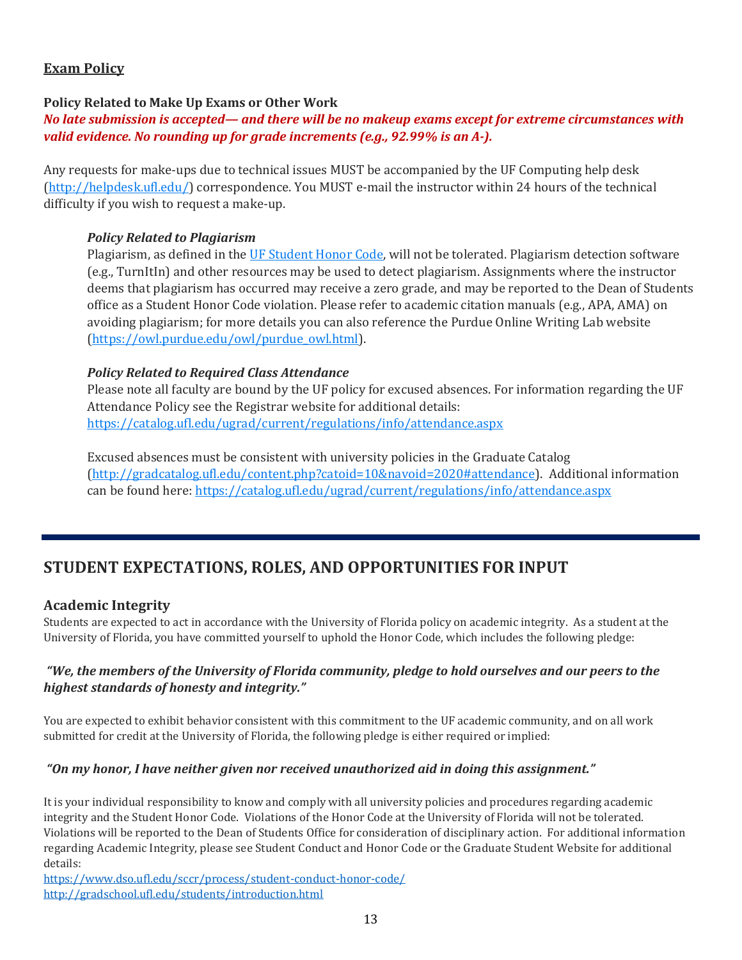# **Exam Policy**

### **Policy Related to Make Up Exams or Other Work**

#### *No late submission is accepted— and there will be no makeup exams except for extreme circumstances with valid evidence. No rounding up for grade increments (e.g., 92.99% is an A-).*

Any requests for make-ups due to technical issues MUST be accompanied by the UF Computing help desk [\(http://helpdesk.ufl.edu/\)](http://helpdesk.ufl.edu/) correspondence. You MUST e-mail the instructor within 24 hours of the technical difficulty if you wish to request a make-up.

#### *Policy Related to Plagiarism*

Plagiarism, as defined in the [UF Student Honor Code,](https://regulations.ufl.edu/wpcontent/uploads/2018/06/4.040-1.pdf) will not be tolerated. Plagiarism detection software (e.g., TurnItIn) and other resources may be used to detect plagiarism. Assignments where the instructor deems that plagiarism has occurred may receive a zero grade, and may be reported to the Dean of Students office as a Student Honor Code violation. Please refer to academic citation manuals (e.g., APA, AMA) on avoiding plagiarism; for more details you can also reference the Purdue Online Writing Lab website [\(https://owl.purdue.edu/owl/purdue\\_owl.html\)](https://owl.purdue.edu/owl/purdue_owl.html).

#### *Policy Related to Required Class Attendance*

Please note all faculty are bound by the UF policy for excused absences. For information regarding the UF Attendance Policy see the Registrar website for additional details: <https://catalog.ufl.edu/ugrad/current/regulations/info/attendance.aspx>

Excused absences must be consistent with university policies in the Graduate Catalog [\(http://gradcatalog.ufl.edu/content.php?catoid=10&navoid=2020#attendance\)](http://gradcatalog.ufl.edu/content.php?catoid=10&navoid=2020#attendance). Additional information can be found here:<https://catalog.ufl.edu/ugrad/current/regulations/info/attendance.aspx>

# **STUDENT EXPECTATIONS, ROLES, AND OPPORTUNITIES FOR INPUT**

#### **Academic Integrity**

Students are expected to act in accordance with the University of Florida policy on academic integrity. As a student at the University of Florida, you have committed yourself to uphold the Honor Code, which includes the following pledge:

#### *"We, the members of the University of Florida community, pledge to hold ourselves and our peers to the highest standards of honesty and integrity."*

You are expected to exhibit behavior consistent with this commitment to the UF academic community, and on all work submitted for credit at the University of Florida, the following pledge is either required or implied:

#### *"On my honor, I have neither given nor received unauthorized aid in doing this assignment."*

It is your individual responsibility to know and comply with all university policies and procedures regarding academic integrity and the Student Honor Code. Violations of the Honor Code at the University of Florida will not be tolerated. Violations will be reported to the Dean of Students Office for consideration of disciplinary action. For additional information regarding Academic Integrity, please see Student Conduct and Honor Code or the Graduate Student Website for additional details:

<https://www.dso.ufl.edu/sccr/process/student-conduct-honor-code/> <http://gradschool.ufl.edu/students/introduction.html>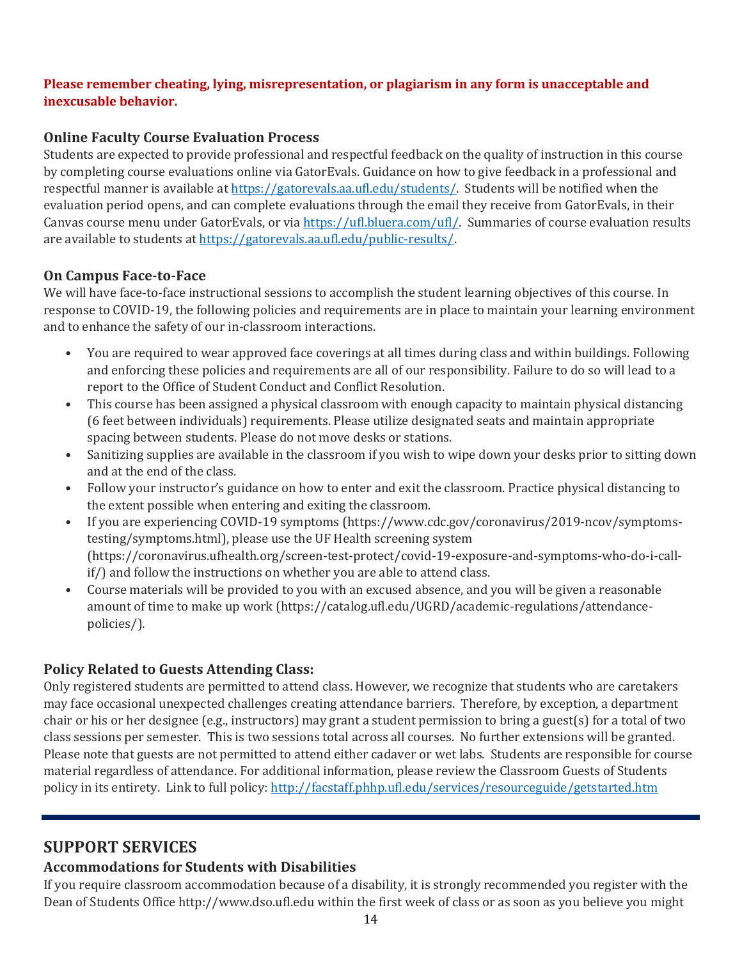#### **Please remember cheating, lying, misrepresentation, or plagiarism in any form is unacceptable and inexcusable behavior.**

# **Online Faculty Course Evaluation Process**

Students are expected to provide professional and respectful feedback on the quality of instruction in this course by completing course evaluations online via GatorEvals. Guidance on how to give feedback in a professional and respectful manner is available at [https://gatorevals.aa.ufl.edu/students/.](https://gatorevals.aa.ufl.edu/students/) Students will be notified when the evaluation period opens, and can complete evaluations through the email they receive from GatorEvals, in their Canvas course menu under GatorEvals, or vi[a https://ufl.bluera.com/ufl/.](https://ufl.bluera.com/ufl/) Summaries of course evaluation results are available to students a[t https://gatorevals.aa.ufl.edu/public-results/.](https://gatorevals.aa.ufl.edu/public-results/)

# **On Campus Face-to-Face**

We will have face-to-face instructional sessions to accomplish the student learning objectives of this course. In response to COVID-19, the following policies and requirements are in place to maintain your learning environment and to enhance the safety of our in-classroom interactions.

- You are required to wear approved face coverings at all times during class and within buildings. Following and enforcing these policies and requirements are all of our responsibility. Failure to do so will lead to a report to the Office of Student Conduct and Conflict Resolution.
- This course has been assigned a physical classroom with enough capacity to maintain physical distancing (6 feet between individuals) requirements. Please utilize designated seats and maintain appropriate spacing between students. Please do not move desks or stations.
- Sanitizing supplies are available in the classroom if you wish to wipe down your desks prior to sitting down and at the end of the class.
- Follow your instructor's guidance on how to enter and exit the classroom. Practice physical distancing to the extent possible when entering and exiting the classroom.
- If you are experiencing COVID-19 symptoms (https://www.cdc.gov/coronavirus/2019-ncov/symptomstesting/symptoms.html), please use the UF Health screening system (https://coronavirus.ufhealth.org/screen-test-protect/covid-19-exposure-and-symptoms-who-do-i-callif/) and follow the instructions on whether you are able to attend class.
- Course materials will be provided to you with an excused absence, and you will be given a reasonable amount of time to make up work (https://catalog.ufl.edu/UGRD/academic-regulations/attendancepolicies/).

# **Policy Related to Guests Attending Class:**

Only registered students are permitted to attend class. However, we recognize that students who are caretakers may face occasional unexpected challenges creating attendance barriers. Therefore, by exception, a department chair or his or her designee (e.g., instructors) may grant a student permission to bring a guest(s) for a total of two class sessions per semester. This is two sessions total across all courses. No further extensions will be granted. Please note that guests are not permitted to attend either cadaver or wet labs. Students are responsible for course material regardless of attendance. For additional information, please review the Classroom Guests of Students policy in its entirety. Link to full policy[: http://facstaff.phhp.ufl.edu/services/resourceguide/getstarted.htm](http://facstaff.phhp.ufl.edu/services/resourceguide/getstarted.htm)

# **SUPPORT SERVICES**

# **Accommodations for Students with Disabilities**

If you require classroom accommodation because of a disability, it is strongly recommended you register with the Dean of Students Office http://www.dso.ufl.edu within the first week of class or as soon as you believe you might